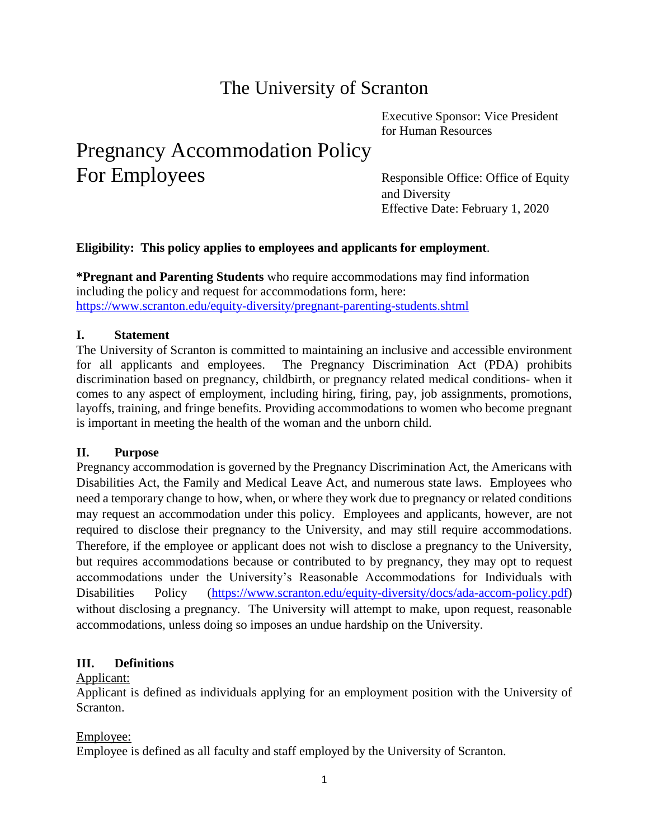## The University of Scranton

Executive Sponsor: Vice President for Human Resources

# Pregnancy Accommodation Policy For Employees Responsible Office: Office of Equity

and Diversity Effective Date: February 1, 2020

## **Eligibility: This policy applies to employees and applicants for employment**.

**\*Pregnant and Parenting Students** who require accommodations may find information including the policy and request for accommodations form, here: <https://www.scranton.edu/equity-diversity/pregnant-parenting-students.shtml>

## **I. Statement**

The University of Scranton is committed to maintaining an inclusive and accessible environment for all applicants and employees. The Pregnancy Discrimination Act (PDA) prohibits discrimination based on pregnancy, childbirth, or pregnancy related medical conditions- when it comes to any aspect of employment, including hiring, firing, pay, job assignments, promotions, layoffs, training, and fringe benefits. Providing accommodations to women who become pregnant is important in meeting the health of the woman and the unborn child.

#### **II. Purpose**

Pregnancy accommodation is governed by the Pregnancy Discrimination Act, the Americans with Disabilities Act, the Family and Medical Leave Act, and numerous state laws. Employees who need a temporary change to how, when, or where they work due to pregnancy or related conditions may request an accommodation under this policy. Employees and applicants, however, are not required to disclose their pregnancy to the University, and may still require accommodations. Therefore, if the employee or applicant does not wish to disclose a pregnancy to the University, but requires accommodations because or contributed to by pregnancy, they may opt to request accommodations under the University's Reasonable Accommodations for Individuals with Disabilities Policy [\(https://www.scranton.edu/equity-diversity/docs/ada-accom-policy.pdf\)](https://www.scranton.edu/equity-diversity/docs/ada-accom-policy.pdf) without disclosing a pregnancy. The University will attempt to make, upon request, reasonable accommodations, unless doing so imposes an undue hardship on the University.

#### **III. Definitions**

#### Applicant:

Applicant is defined as individuals applying for an employment position with the University of Scranton.

#### Employee:

Employee is defined as all faculty and staff employed by the University of Scranton.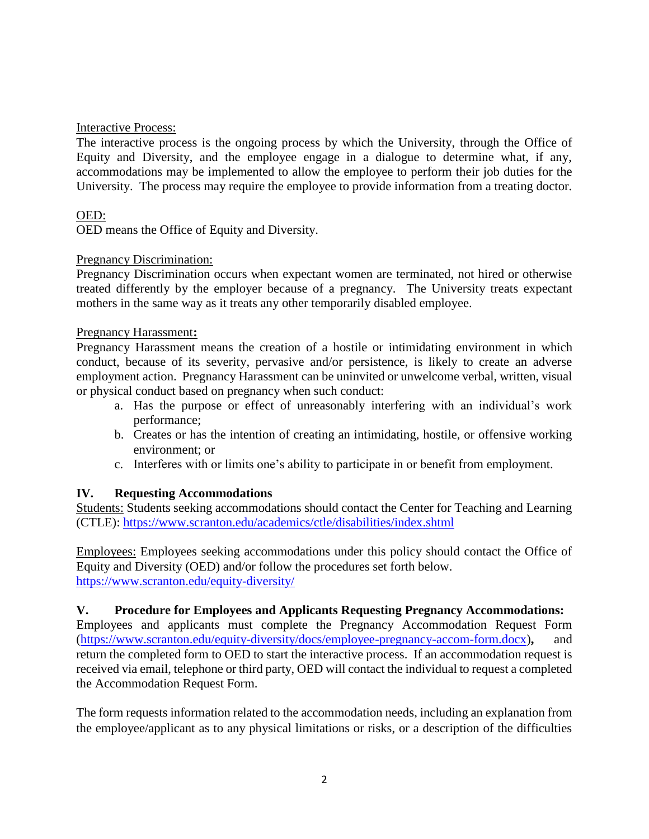## Interactive Process:

The interactive process is the ongoing process by which the University, through the Office of Equity and Diversity, and the employee engage in a dialogue to determine what, if any, accommodations may be implemented to allow the employee to perform their job duties for the University. The process may require the employee to provide information from a treating doctor.

## OED:

OED means the Office of Equity and Diversity.

#### Pregnancy Discrimination:

Pregnancy Discrimination occurs when expectant women are terminated, not hired or otherwise treated differently by the employer because of a pregnancy. The University treats expectant mothers in the same way as it treats any other temporarily disabled employee.

#### Pregnancy Harassment**:**

Pregnancy Harassment means the creation of a hostile or intimidating environment in which conduct, because of its severity, pervasive and/or persistence, is likely to create an adverse employment action. Pregnancy Harassment can be uninvited or unwelcome verbal, written, visual or physical conduct based on pregnancy when such conduct:

- a. Has the purpose or effect of unreasonably interfering with an individual's work performance;
- b. Creates or has the intention of creating an intimidating, hostile, or offensive working environment; or
- c. Interferes with or limits one's ability to participate in or benefit from employment.

#### **IV. Requesting Accommodations**

Students: Students seeking accommodations should contact the Center for Teaching and Learning (CTLE):<https://www.scranton.edu/academics/ctle/disabilities/index.shtml>

Employees: Employees seeking accommodations under this policy should contact the Office of Equity and Diversity (OED) and/or follow the procedures set forth below. <https://www.scranton.edu/equity-diversity/>

#### **V. Procedure for Employees and Applicants Requesting Pregnancy Accommodations:**

Employees and applicants must complete the Pregnancy Accommodation Request Form [\(https://www.scranton.edu/equity-diversity/docs/employee-pregnancy-accom-form.docx\)](https://www.scranton.edu/equity-diversity/docs/employee-pregnancy-accom-form.docx)**,** and return the completed form to OED to start the interactive process. If an accommodation request is received via email, telephone or third party, OED will contact the individual to request a completed the Accommodation Request Form.

The form requests information related to the accommodation needs, including an explanation from the employee/applicant as to any physical limitations or risks, or a description of the difficulties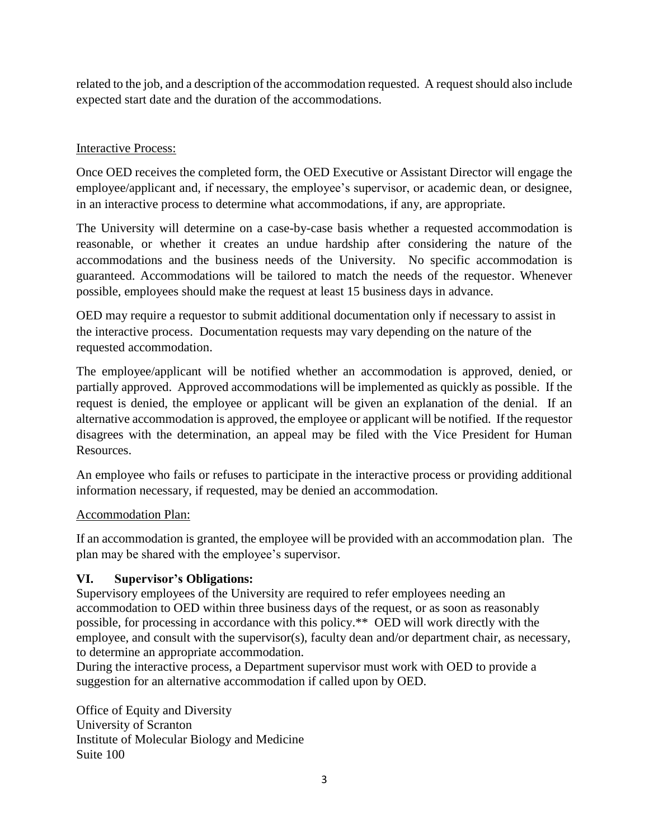related to the job, and a description of the accommodation requested. A request should also include expected start date and the duration of the accommodations.

## Interactive Process:

Once OED receives the completed form, the OED Executive or Assistant Director will engage the employee/applicant and, if necessary, the employee's supervisor, or academic dean, or designee, in an interactive process to determine what accommodations, if any, are appropriate.

The University will determine on a case-by-case basis whether a requested accommodation is reasonable, or whether it creates an undue hardship after considering the nature of the accommodations and the business needs of the University. No specific accommodation is guaranteed. Accommodations will be tailored to match the needs of the requestor. Whenever possible, employees should make the request at least 15 business days in advance.

OED may require a requestor to submit additional documentation only if necessary to assist in the interactive process. Documentation requests may vary depending on the nature of the requested accommodation.

The employee/applicant will be notified whether an accommodation is approved, denied, or partially approved. Approved accommodations will be implemented as quickly as possible. If the request is denied, the employee or applicant will be given an explanation of the denial. If an alternative accommodation is approved, the employee or applicant will be notified. If the requestor disagrees with the determination, an appeal may be filed with the Vice President for Human Resources.

An employee who fails or refuses to participate in the interactive process or providing additional information necessary, if requested, may be denied an accommodation.

## Accommodation Plan:

If an accommodation is granted, the employee will be provided with an accommodation plan. The plan may be shared with the employee's supervisor.

## **VI. Supervisor's Obligations:**

Supervisory employees of the University are required to refer employees needing an accommodation to OED within three business days of the request, or as soon as reasonably possible, for processing in accordance with this policy.\*\* OED will work directly with the employee, and consult with the supervisor(s), faculty dean and/or department chair, as necessary, to determine an appropriate accommodation.

During the interactive process, a Department supervisor must work with OED to provide a suggestion for an alternative accommodation if called upon by OED.

Office of Equity and Diversity University of Scranton Institute of Molecular Biology and Medicine Suite 100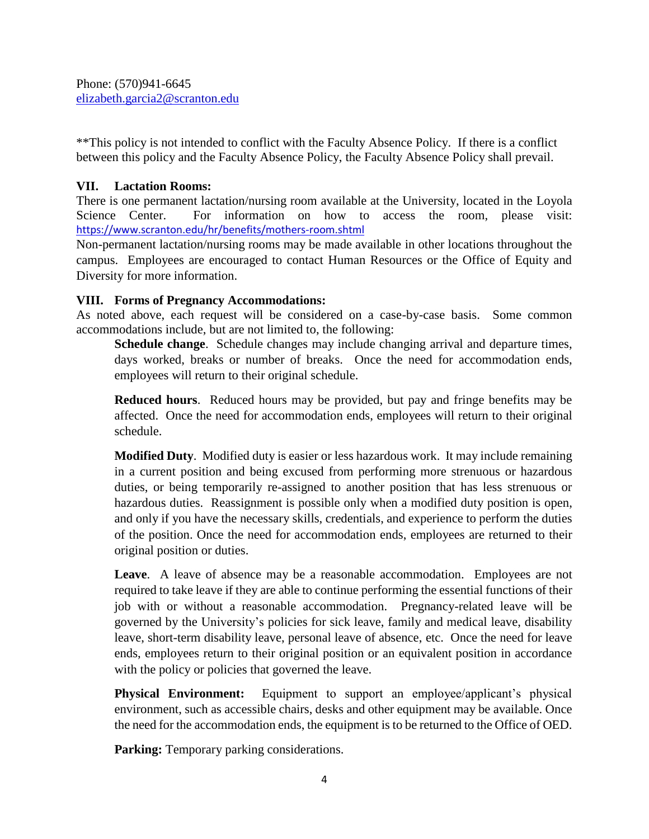Phone: (570)941-6645 [elizabeth.garcia2@scranton.edu](mailto:elizabeth.garcia2@scranton.edu)

\*\*This policy is not intended to conflict with the Faculty Absence Policy. If there is a conflict between this policy and the Faculty Absence Policy, the Faculty Absence Policy shall prevail.

### **VII. Lactation Rooms:**

There is one permanent lactation/nursing room available at the University, located in the Loyola Science Center. For information on how to access the room, please visit: <https://www.scranton.edu/hr/benefits/mothers-room.shtml>

Non-permanent lactation/nursing rooms may be made available in other locations throughout the campus. Employees are encouraged to contact Human Resources or the Office of Equity and Diversity for more information.

### **VIII. Forms of Pregnancy Accommodations:**

As noted above, each request will be considered on a case-by-case basis. Some common accommodations include, but are not limited to, the following:

**Schedule change.** Schedule changes may include changing arrival and departure times, days worked, breaks or number of breaks. Once the need for accommodation ends, employees will return to their original schedule.

**Reduced hours**. Reduced hours may be provided, but pay and fringe benefits may be affected. Once the need for accommodation ends, employees will return to their original schedule.

**Modified Duty**. Modified duty is easier or less hazardous work. It may include remaining in a current position and being excused from performing more strenuous or hazardous duties, or being temporarily re-assigned to another position that has less strenuous or hazardous duties. Reassignment is possible only when a modified duty position is open, and only if you have the necessary skills, credentials, and experience to perform the duties of the position. Once the need for accommodation ends, employees are returned to their original position or duties.

Leave. A leave of absence may be a reasonable accommodation. Employees are not required to take leave if they are able to continue performing the essential functions of their job with or without a reasonable accommodation. Pregnancy-related leave will be governed by the University's policies for sick leave, family and medical leave, disability leave, short-term disability leave, personal leave of absence, etc. Once the need for leave ends, employees return to their original position or an equivalent position in accordance with the policy or policies that governed the leave.

**Physical Environment:** Equipment to support an employee/applicant's physical environment, such as accessible chairs, desks and other equipment may be available. Once the need for the accommodation ends, the equipment is to be returned to the Office of OED.

**Parking:** Temporary parking considerations.